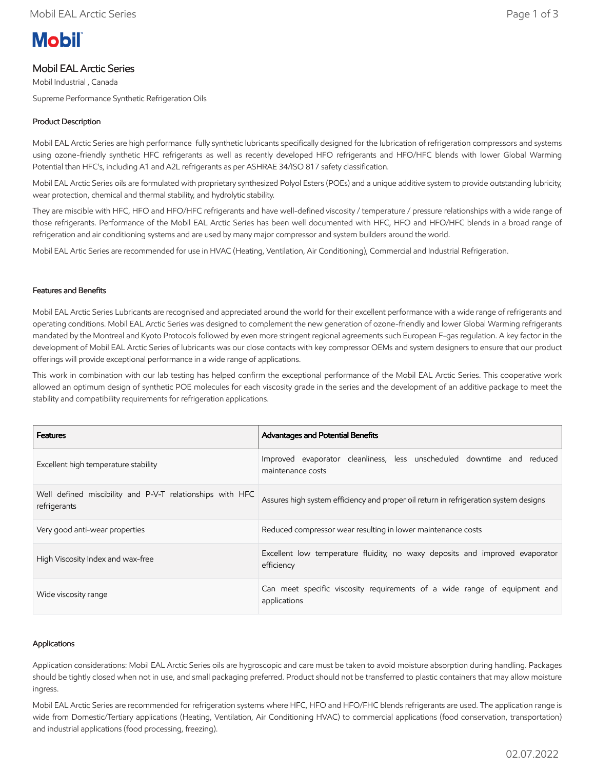# **Mobil**

## Mobil EAL Arctic Series

Mobil Industrial , Canada

Supreme Performance Synthetic Refrigeration Oils

### Product Description

Mobil EAL Arctic Series are high performance fully synthetic lubricants specifically designed for the lubrication of refrigeration compressors and systems using ozone-friendly synthetic HFC refrigerants as well as recently developed HFO refrigerants and HFO/HFC blends with lower Global Warming Potential than HFC's, including A1 and A2L refrigerants as per ASHRAE 34/ISO 817 safety classification.

Mobil EAL Arctic Series oils are formulated with proprietary synthesized Polyol Esters (POEs) and a unique additive system to provide outstanding lubricity, wear protection, chemical and thermal stability, and hydrolytic stability.

They are miscible with HFC, HFO and HFO/HFC refrigerants and have well-defined viscosity / temperature / pressure relationships with a wide range of those refrigerants. Performance of the Mobil EAL Arctic Series has been well documented with HFC, HFO and HFO/HFC blends in a broad range of refrigeration and air conditioning systems and are used by many major compressor and system builders around the world.

Mobil EAL Artic Series are recommended for use in HVAC (Heating, Ventilation, Air Conditioning), Commercial and Industrial Refrigeration.

#### Features and Benefits

Mobil EAL Arctic Series Lubricants are recognised and appreciated around the world for their excellent performance with a wide range of refrigerants and operating conditions. Mobil EAL Arctic Series was designed to complement the new generation of ozone-friendly and lower Global Warming refrigerants mandated by the Montreal and Kyoto Protocols followed by even more stringent regional agreements such European F-gas regulation. A key factor in the development of Mobil EAL Arctic Series of lubricants was our close contacts with key compressor OEMs and system designers to ensure that our product offerings will provide exceptional performance in a wide range of applications.

This work in combination with our lab testing has helped confirm the exceptional performance of the Mobil EAL Arctic Series. This cooperative work allowed an optimum design of synthetic POE molecules for each viscosity grade in the series and the development of an additive package to meet the stability and compatibility requirements for refrigeration applications.

| <b>Features</b>                                                           | <b>Advantages and Potential Benefits</b>                                                    |  |  |  |  |  |  |
|---------------------------------------------------------------------------|---------------------------------------------------------------------------------------------|--|--|--|--|--|--|
| Excellent high temperature stability                                      | Improved evaporator cleanliness, less unscheduled downtime and reduced<br>maintenance costs |  |  |  |  |  |  |
| Well defined miscibility and P-V-T relationships with HFC<br>refrigerants | Assures high system efficiency and proper oil return in refrigeration system designs        |  |  |  |  |  |  |
| Very good anti-wear properties                                            | Reduced compressor wear resulting in lower maintenance costs                                |  |  |  |  |  |  |
| High Viscosity Index and wax-free                                         | Excellent low temperature fluidity, no waxy deposits and improved evaporator<br>efficiency  |  |  |  |  |  |  |
| Wide viscosity range                                                      | Can meet specific viscosity requirements of a wide range of equipment and<br>applications   |  |  |  |  |  |  |

#### Applications

Application considerations: Mobil EAL Arctic Series oils are hygroscopic and care must be taken to avoid moisture absorption during handling. Packages should be tightly closed when not in use, and small packaging preferred. Product should not be transferred to plastic containers that may allow moisture ingress.

Mobil EAL Arctic Series are recommended for refrigeration systems where HFC, HFO and HFO/FHC blends refrigerants are used. The application range is wide from Domestic/Tertiary applications (Heating, Ventilation, Air Conditioning HVAC) to commercial applications (food conservation, transportation) and industrial applications (food processing, freezing).